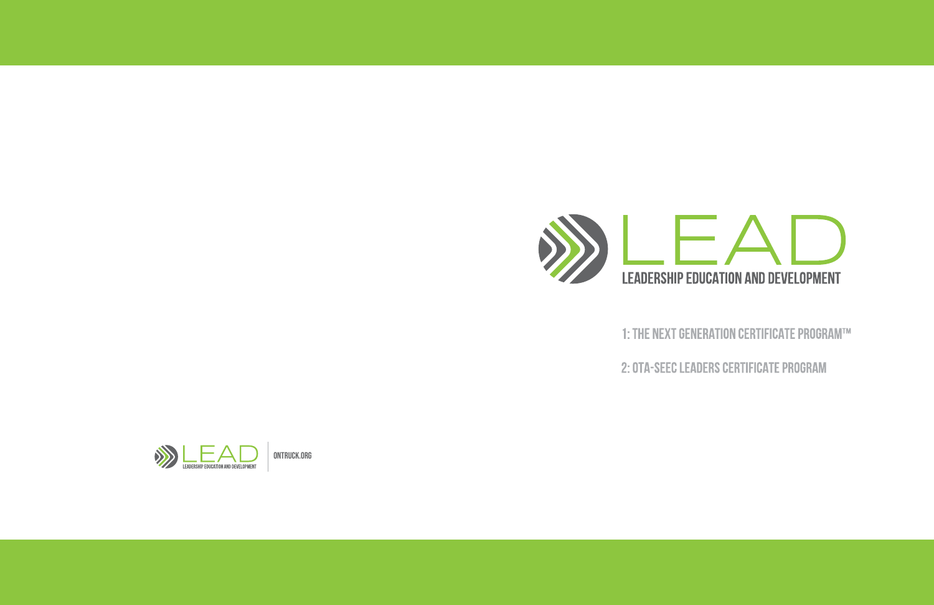



ONTRUCK.ORG

- 1: THE NEXT GENERATION CERTIFICATE PROGRAM™
- 2: OTA-SEEC LEADERS CERTIFICATE PROGRAM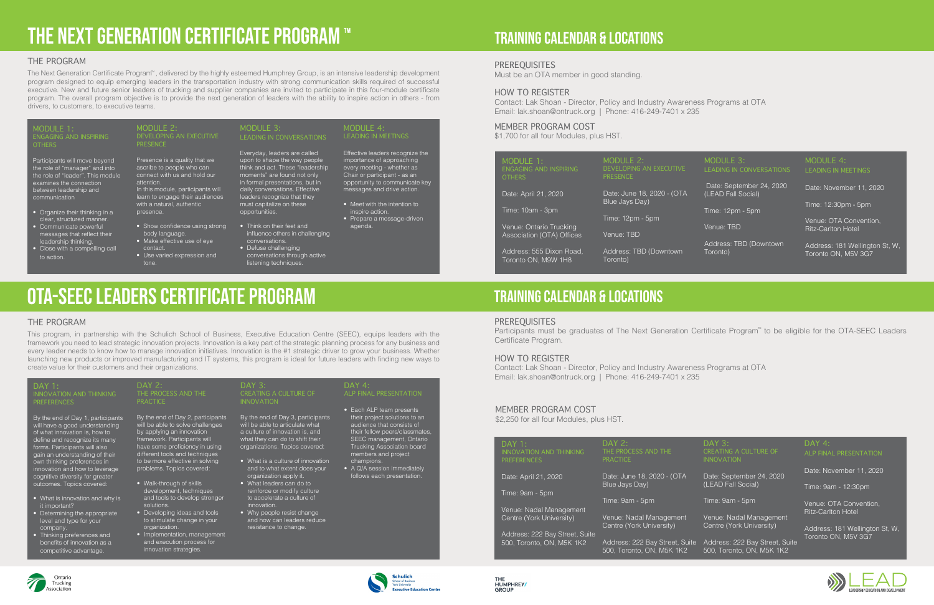# THE NEXT GENERATION CERTIFICATE PROGRAM

#### THE PROGRAM

The Next Generation Certificate Program™, delivered by the highly esteemed Humphrey Group, is an intensive leadership development program designed to equip emerging leaders in the transportation industry with strong communication skills required of successful executive. New and future senior leaders of trucking and supplier companies are invited to participate in this four-module certificate program. The overall program objective is to provide the next generation of leaders with the ability to inspire action in others - from drivers, to customers, to executive teams.

#### $IONIF 1:$ ENGAGING AND INSPIRING **OTHERS**

- Organize their thinking in a clear, structured manner.
- Communicate powerful messages that reflect their leadership thinking.
- Close with a compelling call to action.

#### MODULE  $2$ <sup>-</sup> DEVELOPING AN EXECUTIVE PRESENCE

- Show confidence using strong body language.
- Make effective use of eye contact.
- Use varied expression and tone.

#### MODULE  $3 -$ LEADING IN CONVERSATIONS

Participants will move beyond the role of "manager" and into the role of "leader". This module examines the connection between leadership and communication

MODULE  $4$ <sup>-</sup> LEADING IN MEETINGS

Presence is a quality that we ascribe to people who can connect with us and hold our attention. In this module, participants will learn to engage their audiences with a natural, authentic presence.

Everyday, leaders are called upon to shape the way people think and act. These "leadership moments" are found not only in formal presentations, but in daily conversations. Effective leaders recognize that they must capitalize on these opportunities.

• Think on their feet and

influence others in challenging

conversations. • Defuse challenging

conversations through active listening techniques.

Effective leaders recognize the importance of approaching every meeting - whether as Chair or participant - as an opportunity to communicate key messages and drive action.

- Meet with the intention to inspire action.
- Prepare a message-driven agenda.

# OTA-SEEC LEADERS CERTIFICATE PROGRAM

#### THE PROGRAM

- organization.
- Implementation, management and execution process for innovation strategies.
- resistance to chang

This program, in partnership with the Schulich School of Business, Executive Education Centre (SEEC), equips leaders with the framework you need to lead strategic innovation projects. Innovation is a key part of the strategic planning process for any business and every leader needs to know how to manage innovation initiatives. Innovation is the #1 strategic driver to grow your business. Whether launching new products or improved manufacturing and IT systems, this program is ideal for future leaders with finding new ways to create value for their customers and their organizations.

# Training calendar & locations

# Training calendar & locations

#### PREREQUISITES

Must be an OTA member in good standing.

Participants must be graduates of The Next Generation Certificate Program<sup>™</sup> to be eligible for the OTA-SEEC Leaders Certificate Program.

#### HOW TO REGISTER

Contact: Lak Shoan - Director, Policy and Industry Awareness Programs at OTA Email: lak.shoan@ontruck.org | Phone: 416-249-7401 x 235

| <b>MODULE 1:</b>                                                         | <b>MODULE 2:</b>                             |
|--------------------------------------------------------------------------|----------------------------------------------|
| <b>ENGAGING AND INSPIRING</b>                                            | <b>DEVELOPING AN EXECUTIVE</b>               |
| <b>OTHERS</b>                                                            | <b>PRESENCE</b>                              |
| Date: April 21, 2020                                                     | Date: June 18, 2020 - (OTA<br>Blue Jays Day) |
| Time: 10am - 3pm<br>Venue: Ontario Trucking<br>Association (OTA) Offices | Time: 12pm - 5pm<br>Venue: TBD               |
| Address: 555 Dixon Road,                                                 | Address: TBD (Downtown                       |
| Toronto ON, M9W 1H8                                                      | Toronto)                                     |

#### DAY 4: ALP FINAL PRESENTATION

#### MODULE 3: LEADING IN CONVERSATIONS

- Date: September 24, 2020 (LEAD Fall Social)
- Time: 12pm 5pm
- Venue: TBD
- Address: TBD (Downtown Toronto)

#### MODULE 4: LEADING IN MEETINGS

Date: November 11, 2020

Time: 12:30pm - 5pm

Venue: OTA Convention, Ritz-Carlton Hotel

Address: 181 Wellington St, W, Toronto ON, M5V 3G7

### MEMBER PROGRAM COST

\$1,700 for all four Modules, plus HST.

• Thinking preferences and benefits of innovation as a competitive advantage.



HUMPHREY

| <b>DAY 1:</b><br><b>INNOVATION AND THINKING</b><br><b>PREFERENCES</b>                                                                                                                                                                                                                                                                                                                                                          | <b>DAY 2:</b><br>THE PROCESS AND THE<br><b>PRACTICE</b>                                                                                                                                                                                                                                                                                                                                                      | <b>DAY 3:</b><br>CREATING A CULTURE OF<br><b>INNOVATION</b>                                                                                                                                                                                                                                                                                                                                                       | $DAY$ 4:<br><b>ALP FINAL PRESENTATION</b>                                                                                                                                                                                                                                            |
|--------------------------------------------------------------------------------------------------------------------------------------------------------------------------------------------------------------------------------------------------------------------------------------------------------------------------------------------------------------------------------------------------------------------------------|--------------------------------------------------------------------------------------------------------------------------------------------------------------------------------------------------------------------------------------------------------------------------------------------------------------------------------------------------------------------------------------------------------------|-------------------------------------------------------------------------------------------------------------------------------------------------------------------------------------------------------------------------------------------------------------------------------------------------------------------------------------------------------------------------------------------------------------------|--------------------------------------------------------------------------------------------------------------------------------------------------------------------------------------------------------------------------------------------------------------------------------------|
| By the end of Day 1, participants<br>will have a good understanding<br>of what innovation is, how to<br>define and recognize its many<br>forms. Participants will also<br>gain an understanding of their<br>own thinking preferences in<br>innovation and how to leverage<br>cognitive diversity for greater<br>outcomes. Topics covered:<br>• What is innovation and why is<br>it important?<br>• Determining the appropriate | By the end of Day 2, participants<br>will be able to solve challenges<br>by applying an innovation<br>framework. Participants will<br>have some proficiency in using<br>different tools and techniques<br>to be more effective in solving<br>problems. Topics covered:<br>• Walk-through of skills<br>development, techniques<br>and tools to develop stronger<br>solutions.<br>• Developing ideas and tools | By the end of Day 3, participants<br>will be able to articulate what<br>a culture of innovation is, and<br>what they can do to shift their<br>organizations. Topics covered:<br>• What is a culture of innovation<br>and to what extent does your<br>organization apply it.<br>• What leaders can do to<br>reinforce or modify culture<br>to accelerate a culture of<br>innovation.<br>• Why people resist change | • Each ALP team presents<br>their project solutions to an<br>audience that consists of<br>their fellow peers/classmates,<br>SEEC management, Ontario<br>Trucking Association board<br>members and project<br>champions.<br>• A Q/A session immediately<br>follows each presentation. |
| level and type for your<br>company.                                                                                                                                                                                                                                                                                                                                                                                            | to stimulate change in your<br>organization.                                                                                                                                                                                                                                                                                                                                                                 | and how can leaders reduce<br>resistance to change.                                                                                                                                                                                                                                                                                                                                                               |                                                                                                                                                                                                                                                                                      |

#### PREREQUISITES

#### HOW TO REGISTER

Contact: Lak Shoan - Director, Policy and Industry Awareness Programs at OTA Email: lak.shoan@ontruck.org | Phone: 416-249-7401 x 235

| $DAY$ 1:<br><b>INNOVATION AND THINKING</b><br><b>PREFERENCES</b> | DAY 2:<br>THE PROCESS AND THE<br><b>PRACTICE</b>            |
|------------------------------------------------------------------|-------------------------------------------------------------|
| Date: April 21, 2020                                             | Date: June 18, 2020 - (OTA<br>Blue Jays Day)                |
| Time: 9am - 5pm                                                  |                                                             |
|                                                                  | Time: 9am - 5pm                                             |
| Venue: Nadal Management                                          |                                                             |
| Centre (York University)                                         | Venue: Nadal Management<br>Centre (York University)         |
| Address: 222 Bay Street, Suite                                   |                                                             |
| 500, Toronto, ON, M5K 1K2                                        | Address: 222 Bay Street, Suite<br>500, Toronto, ON, M5K 1K2 |





DAY 3: CREATING A CULTURE OF INNOVATION

Date: September 24, 2020 (LEAD Fall Social)

Time: 9am - 5pm

Venue: Nadal Management Centre (York University)

Address: 222 Bay Street, Suite 500, Toronto, ON, M5K 1K2

Date: November 11, 2020

Time: 9am - 12:30pm

Venue: OTA Convention, Ritz-Carlton Hotel

Address: 181 Wellington St, W, Toronto ON, M5V 3G7





#### MEMBER PROGRAM COST

\$2,250 for all four Modules, plus HST.